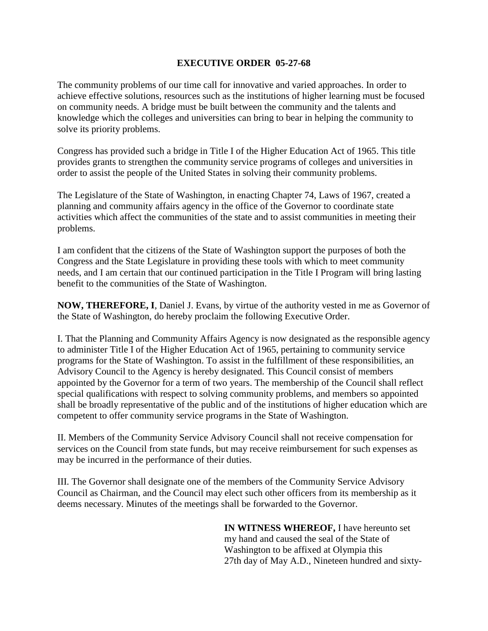## **EXECUTIVE ORDER 05-27-68**

The community problems of our time call for innovative and varied approaches. In order to achieve effective solutions, resources such as the institutions of higher learning must be focused on community needs. A bridge must be built between the community and the talents and knowledge which the colleges and universities can bring to bear in helping the community to solve its priority problems.

Congress has provided such a bridge in Title I of the Higher Education Act of 1965. This title provides grants to strengthen the community service programs of colleges and universities in order to assist the people of the United States in solving their community problems.

The Legislature of the State of Washington, in enacting Chapter 74, Laws of 1967, created a planning and community affairs agency in the office of the Governor to coordinate state activities which affect the communities of the state and to assist communities in meeting their problems.

I am confident that the citizens of the State of Washington support the purposes of both the Congress and the State Legislature in providing these tools with which to meet community needs, and I am certain that our continued participation in the Title I Program will bring lasting benefit to the communities of the State of Washington.

**NOW, THEREFORE, I**, Daniel J. Evans, by virtue of the authority vested in me as Governor of the State of Washington, do hereby proclaim the following Executive Order.

I. That the Planning and Community Affairs Agency is now designated as the responsible agency to administer Title I of the Higher Education Act of 1965, pertaining to community service programs for the State of Washington. To assist in the fulfillment of these responsibilities, an Advisory Council to the Agency is hereby designated. This Council consist of members appointed by the Governor for a term of two years. The membership of the Council shall reflect special qualifications with respect to solving community problems, and members so appointed shall be broadly representative of the public and of the institutions of higher education which are competent to offer community service programs in the State of Washington.

II. Members of the Community Service Advisory Council shall not receive compensation for services on the Council from state funds, but may receive reimbursement for such expenses as may be incurred in the performance of their duties.

III. The Governor shall designate one of the members of the Community Service Advisory Council as Chairman, and the Council may elect such other officers from its membership as it deems necessary. Minutes of the meetings shall be forwarded to the Governor.

> **IN WITNESS WHEREOF,** I have hereunto set my hand and caused the seal of the State of Washington to be affixed at Olympia this 27th day of May A.D., Nineteen hundred and sixty